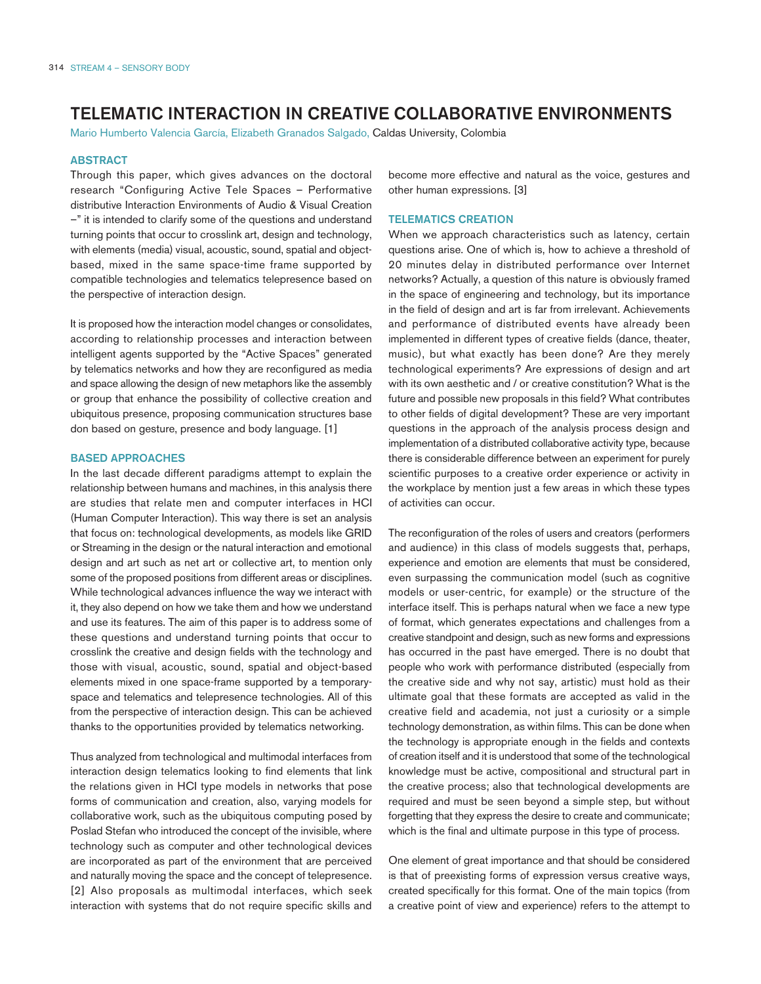# TELEMATIC INTERACTION IN CREATIVE COLLABORATIVE ENVIRONMENTS

Mario Humberto Valencia García, Elizabeth Granados Salgado, Caldas University, Colombia

#### ABSTRACT

Through this paper, which gives advances on the doctoral research "Configuring Active Tele Spaces – Performative distributive Interaction Environments of Audio & Visual Creation –" it is intended to clarify some of the questions and understand turning points that occur to crosslink art, design and technology, with elements (media) visual, acoustic, sound, spatial and objectbased, mixed in the same space-time frame supported by compatible technologies and telematics telepresence based on the perspective of interaction design.

It is proposed how the interaction model changes or consolidates, according to relationship processes and interaction between intelligent agents supported by the "Active Spaces" generated by telematics networks and how they are reconfigured as media and space allowing the design of new metaphors like the assembly or group that enhance the possibility of collective creation and ubiquitous presence, proposing communication structures base don based on gesture, presence and body language. [1]

## BASED APPROACHES

In the last decade different paradigms attempt to explain the relationship between humans and machines, in this analysis there are studies that relate men and computer interfaces in HCI (Human Computer Interaction). This way there is set an analysis that focus on: technological developments, as models like GRID or Streaming in the design or the natural interaction and emotional design and art such as net art or collective art, to mention only some of the proposed positions from different areas or disciplines. While technological advances influence the way we interact with it, they also depend on how we take them and how we understand and use its features. The aim of this paper is to address some of these questions and understand turning points that occur to crosslink the creative and design fields with the technology and those with visual, acoustic, sound, spatial and object-based elements mixed in one space-frame supported by a temporaryspace and telematics and telepresence technologies. All of this from the perspective of interaction design. This can be achieved thanks to the opportunities provided by telematics networking.

Thus analyzed from technological and multimodal interfaces from interaction design telematics looking to find elements that link the relations given in HCI type models in networks that pose forms of communication and creation, also, varying models for collaborative work, such as the ubiquitous computing posed by Poslad Stefan who introduced the concept of the invisible, where technology such as computer and other technological devices are incorporated as part of the environment that are perceived and naturally moving the space and the concept of telepresence. [2] Also proposals as multimodal interfaces, which seek interaction with systems that do not require specific skills and become more effective and natural as the voice, gestures and other human expressions. [3]

### TELEMATICS CREATION

When we approach characteristics such as latency, certain questions arise. One of which is, how to achieve a threshold of 20 minutes delay in distributed performance over Internet networks? Actually, a question of this nature is obviously framed in the space of engineering and technology, but its importance in the field of design and art is far from irrelevant. Achievements and performance of distributed events have already been implemented in different types of creative fields (dance, theater, music), but what exactly has been done? Are they merely technological experiments? Are expressions of design and art with its own aesthetic and / or creative constitution? What is the future and possible new proposals in this field? What contributes to other fields of digital development? These are very important questions in the approach of the analysis process design and implementation of a distributed collaborative activity type, because there is considerable difference between an experiment for purely scientific purposes to a creative order experience or activity in the workplace by mention just a few areas in which these types of activities can occur.

The reconfiguration of the roles of users and creators (performers and audience) in this class of models suggests that, perhaps, experience and emotion are elements that must be considered, even surpassing the communication model (such as cognitive models or user-centric, for example) or the structure of the interface itself. This is perhaps natural when we face a new type of format, which generates expectations and challenges from a creative standpoint and design, such as new forms and expressions has occurred in the past have emerged. There is no doubt that people who work with performance distributed (especially from the creative side and why not say, artistic) must hold as their ultimate goal that these formats are accepted as valid in the creative field and academia, not just a curiosity or a simple technology demonstration, as within films. This can be done when the technology is appropriate enough in the fields and contexts of creation itself and it is understood that some of the technological knowledge must be active, compositional and structural part in the creative process; also that technological developments are required and must be seen beyond a simple step, but without forgetting that they express the desire to create and communicate; which is the final and ultimate purpose in this type of process.

One element of great importance and that should be considered is that of preexisting forms of expression versus creative ways, created specifically for this format. One of the main topics (from a creative point of view and experience) refers to the attempt to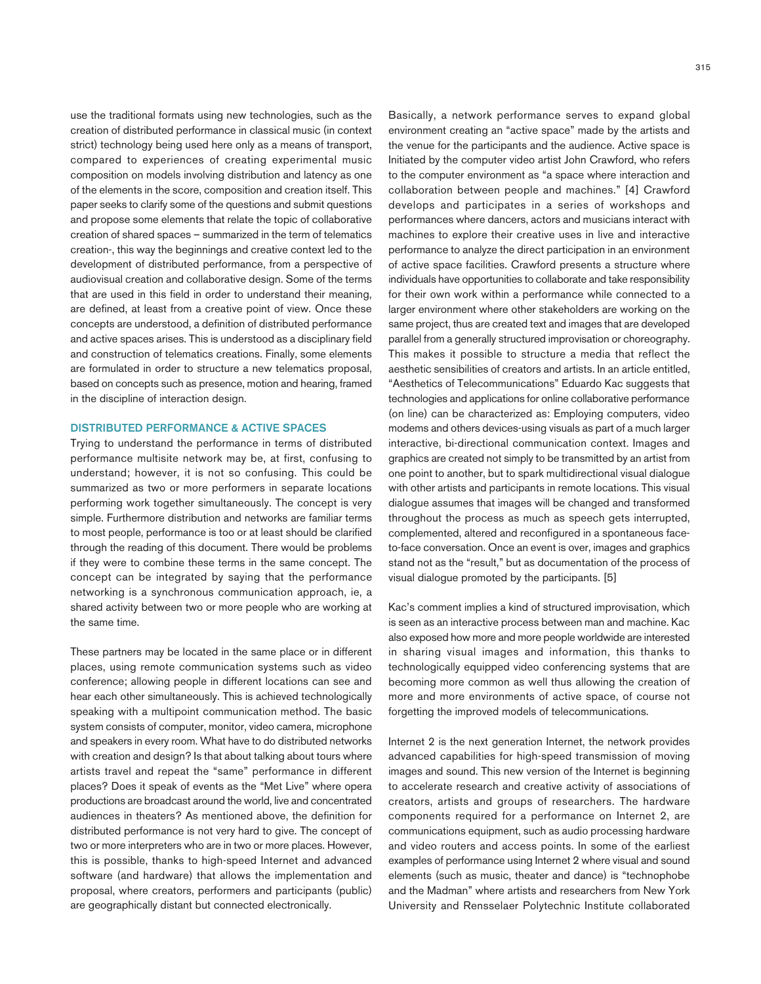use the traditional formats using new technologies, such as the creation of distributed performance in classical music (in context strict) technology being used here only as a means of transport, compared to experiences of creating experimental music composition on models involving distribution and latency as one of the elements in the score, composition and creation itself. This paper seeks to clarify some of the questions and submit questions and propose some elements that relate the topic of collaborative creation of shared spaces – summarized in the term of telematics creation-, this way the beginnings and creative context led to the development of distributed performance, from a perspective of audiovisual creation and collaborative design. Some of the terms that are used in this field in order to understand their meaning, are defined, at least from a creative point of view. Once these concepts are understood, a definition of distributed performance and active spaces arises. This is understood as a disciplinary field and construction of telematics creations. Finally, some elements are formulated in order to structure a new telematics proposal, based on concepts such as presence, motion and hearing, framed in the discipline of interaction design.

#### DISTRIBUTED PERFORMANCE & ACTIVE SPACES

Trying to understand the performance in terms of distributed performance multisite network may be, at first, confusing to understand; however, it is not so confusing. This could be summarized as two or more performers in separate locations performing work together simultaneously. The concept is very simple. Furthermore distribution and networks are familiar terms to most people, performance is too or at least should be clarified through the reading of this document. There would be problems if they were to combine these terms in the same concept. The concept can be integrated by saying that the performance networking is a synchronous communication approach, ie, a shared activity between two or more people who are working at the same time.

These partners may be located in the same place or in different places, using remote communication systems such as video conference; allowing people in different locations can see and hear each other simultaneously. This is achieved technologically speaking with a multipoint communication method. The basic system consists of computer, monitor, video camera, microphone and speakers in every room. What have to do distributed networks with creation and design? Is that about talking about tours where artists travel and repeat the "same" performance in different places? Does it speak of events as the "Met Live" where opera productions are broadcast around the world, live and concentrated audiences in theaters? As mentioned above, the definition for distributed performance is not very hard to give. The concept of two or more interpreters who are in two or more places. However, this is possible, thanks to high-speed Internet and advanced software (and hardware) that allows the implementation and proposal, where creators, performers and participants (public) are geographically distant but connected electronically.

Basically, a network performance serves to expand global environment creating an "active space" made by the artists and the venue for the participants and the audience. Active space is Initiated by the computer video artist John Crawford, who refers to the computer environment as "a space where interaction and collaboration between people and machines." [4] Crawford develops and participates in a series of workshops and performances where dancers, actors and musicians interact with machines to explore their creative uses in live and interactive performance to analyze the direct participation in an environment of active space facilities. Crawford presents a structure where individuals have opportunities to collaborate and take responsibility for their own work within a performance while connected to a larger environment where other stakeholders are working on the same project, thus are created text and images that are developed parallel from a generally structured improvisation or choreography. This makes it possible to structure a media that reflect the aesthetic sensibilities of creators and artists. In an article entitled, "Aesthetics of Telecommunications" Eduardo Kac suggests that technologies and applications for online collaborative performance (on line) can be characterized as: Employing computers, video modems and others devices-using visuals as part of a much larger interactive, bi-directional communication context. Images and graphics are created not simply to be transmitted by an artist from one point to another, but to spark multidirectional visual dialogue with other artists and participants in remote locations. This visual dialogue assumes that images will be changed and transformed throughout the process as much as speech gets interrupted, complemented, altered and reconfigured in a spontaneous faceto-face conversation. Once an event is over, images and graphics stand not as the "result," but as documentation of the process of visual dialogue promoted by the participants. [5]

Kac's comment implies a kind of structured improvisation, which is seen as an interactive process between man and machine. Kac also exposed how more and more people worldwide are interested in sharing visual images and information, this thanks to technologically equipped video conferencing systems that are becoming more common as well thus allowing the creation of more and more environments of active space, of course not forgetting the improved models of telecommunications.

Internet 2 is the next generation Internet, the network provides advanced capabilities for high-speed transmission of moving images and sound. This new version of the Internet is beginning to accelerate research and creative activity of associations of creators, artists and groups of researchers. The hardware components required for a performance on Internet 2, are communications equipment, such as audio processing hardware and video routers and access points. In some of the earliest examples of performance using Internet 2 where visual and sound elements (such as music, theater and dance) is "technophobe and the Madman" where artists and researchers from New York University and Rensselaer Polytechnic Institute collaborated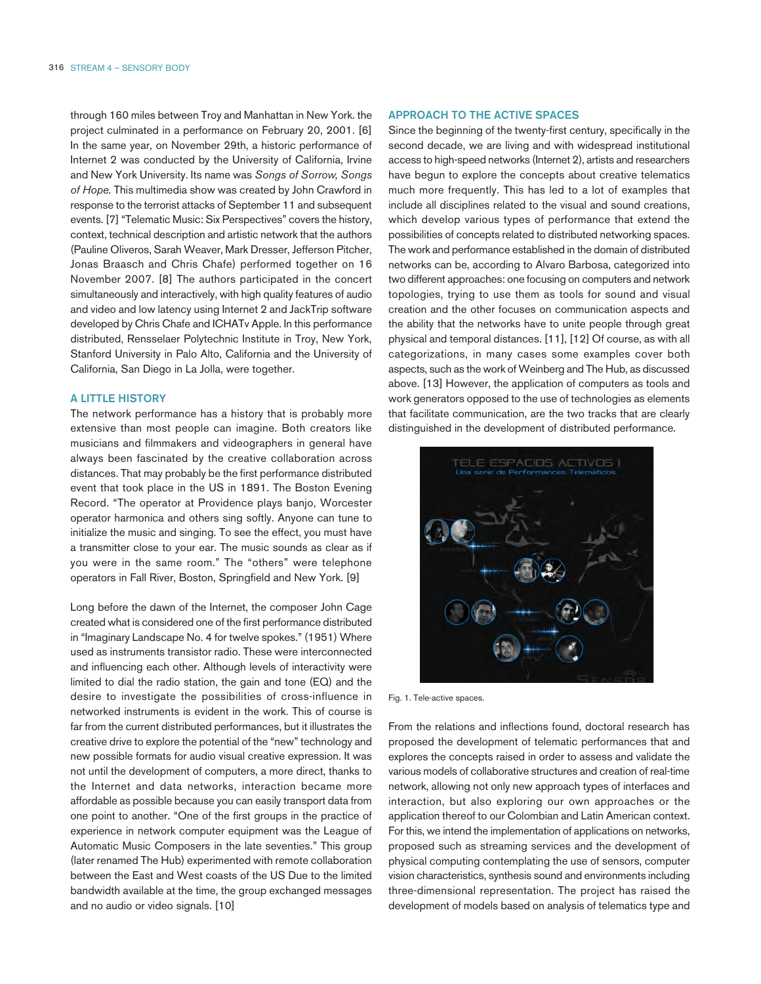through 160 miles between Troy and Manhattan in New York. the project culminated in a performance on February 20, 2001. [6] In the same year, on November 29th, a historic performance of Internet 2 was conducted by the University of California, Irvine and New York University. Its name was *Songs of Sorrow, Songs of Hope.* This multimedia show was created by John Crawford in response to the terrorist attacks of September 11 and subsequent events. [7] "Telematic Music: Six Perspectives" covers the history, context, technical description and artistic network that the authors (Pauline Oliveros, Sarah Weaver, Mark Dresser, Jefferson Pitcher, Jonas Braasch and Chris Chafe) performed together on 16 November 2007. [8] The authors participated in the concert simultaneously and interactively, with high quality features of audio and video and low latency using Internet 2 and JackTrip software developed by Chris Chafe and ICHATv Apple. In this performance distributed, Rensselaer Polytechnic Institute in Troy, New York, Stanford University in Palo Alto, California and the University of California, San Diego in La Jolla, were together.

#### A LITTLE HISTORY

The network performance has a history that is probably more extensive than most people can imagine. Both creators like musicians and filmmakers and videographers in general have always been fascinated by the creative collaboration across distances. That may probably be the first performance distributed event that took place in the US in 1891. The Boston Evening Record. "The operator at Providence plays banjo, Worcester operator harmonica and others sing softly. Anyone can tune to initialize the music and singing. To see the effect, you must have a transmitter close to your ear. The music sounds as clear as if you were in the same room." The "others" were telephone operators in Fall River, Boston, Springfield and New York. [9]

Long before the dawn of the Internet, the composer John Cage created what is considered one of the first performance distributed in "Imaginary Landscape No. 4 for twelve spokes." (1951) Where used as instruments transistor radio. These were interconnected and influencing each other. Although levels of interactivity were limited to dial the radio station, the gain and tone (EQ) and the desire to investigate the possibilities of cross-influence in networked instruments is evident in the work. This of course is far from the current distributed performances, but it illustrates the creative drive to explore the potential of the "new" technology and new possible formats for audio visual creative expression. It was not until the development of computers, a more direct, thanks to the Internet and data networks, interaction became more affordable as possible because you can easily transport data from one point to another. "One of the first groups in the practice of experience in network computer equipment was the League of Automatic Music Composers in the late seventies." This group (later renamed The Hub) experimented with remote collaboration between the East and West coasts of the US Due to the limited bandwidth available at the time, the group exchanged messages and no audio or video signals. [10]

## APPROACH TO THE ACTIVE SPACES

Since the beginning of the twenty-first century, specifically in the second decade, we are living and with widespread institutional access to high-speed networks (Internet 2), artists and researchers have begun to explore the concepts about creative telematics much more frequently. This has led to a lot of examples that include all disciplines related to the visual and sound creations, which develop various types of performance that extend the possibilities of concepts related to distributed networking spaces. The work and performance established in the domain of distributed networks can be, according to Alvaro Barbosa, categorized into two different approaches: one focusing on computers and network topologies, trying to use them as tools for sound and visual creation and the other focuses on communication aspects and the ability that the networks have to unite people through great physical and temporal distances. [11], [12] Of course, as with all categorizations, in many cases some examples cover both aspects, such as the work of Weinberg and The Hub, as discussed above. [13] However, the application of computers as tools and work generators opposed to the use of technologies as elements that facilitate communication, are the two tracks that are clearly distinguished in the development of distributed performance.



Fig. 1. Tele-active spaces.

From the relations and inflections found, doctoral research has proposed the development of telematic performances that and explores the concepts raised in order to assess and validate the various models of collaborative structures and creation of real-time network, allowing not only new approach types of interfaces and interaction, but also exploring our own approaches or the application thereof to our Colombian and Latin American context. For this, we intend the implementation of applications on networks, proposed such as streaming services and the development of physical computing contemplating the use of sensors, computer vision characteristics, synthesis sound and environments including three-dimensional representation. The project has raised the development of models based on analysis of telematics type and